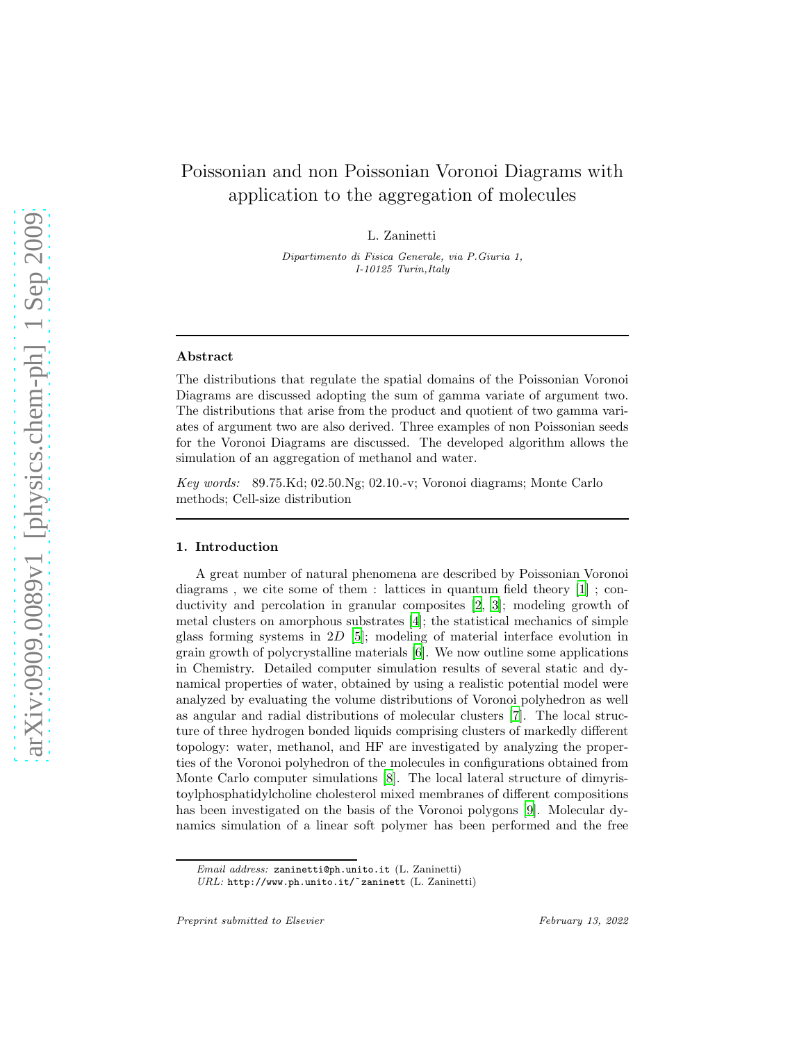# Poissonian and non Poissonian Voronoi Diagrams with application to the aggregation of molecules

L. Zaninetti

*Dipartimento di Fisica Generale, via P.Giuria 1, I-10125 Turin,Italy*

#### Abstract

The distributions that regulate the spatial domains of the Poissonian Voronoi Diagrams are discussed adopting the sum of gamma variate of argument two. The distributions that arise from the product and quotient of two gamma variates of argument two are also derived. Three examples of non Poissonian seeds for the Voronoi Diagrams are discussed. The developed algorithm allows the simulation of an aggregation of methanol and water.

*Key words:* 89.75.Kd; 02.50.Ng; 02.10.-v; Voronoi diagrams; Monte Carlo methods; Cell-size distribution

## 1. Introduction

A great number of natural phenomena are described by Poissonian Voronoi diagrams , we cite some of them : lattices in quantum field theory [\[1](#page-16-0)] ; conductivity and percolation in granular composites [\[2,](#page-16-1) [3\]](#page-16-2); modeling growth of metal clusters on amorphous substrates [\[4](#page-16-3)]; the statistical mechanics of simple glass forming systems in 2D [\[5](#page-16-4)]; modeling of material interface evolution in grain growth of polycrystalline materials [\[6\]](#page-16-5). We now outline some applications in Chemistry. Detailed computer simulation results of several static and dynamical properties of water, obtained by using a realistic potential model were analyzed by evaluating the volume distributions of Voronoi polyhedron as well as angular and radial distributions of molecular clusters [\[7\]](#page-16-6). The local structure of three hydrogen bonded liquids comprising clusters of markedly different topology: water, methanol, and HF are investigated by analyzing the properties of the Voronoi polyhedron of the molecules in configurations obtained from Monte Carlo computer simulations [\[8\]](#page-16-7). The local lateral structure of dimyristoylphosphatidylcholine cholesterol mixed membranes of different compositions has been investigated on the basis of the Voronoi polygons [\[9](#page-16-8)]. Molecular dynamics simulation of a linear soft polymer has been performed and the free

*Email address:* zaninetti@ph.unito.it (L. Zaninetti)

*URL:* http://www.ph.unito.it/˜zaninett (L. Zaninetti)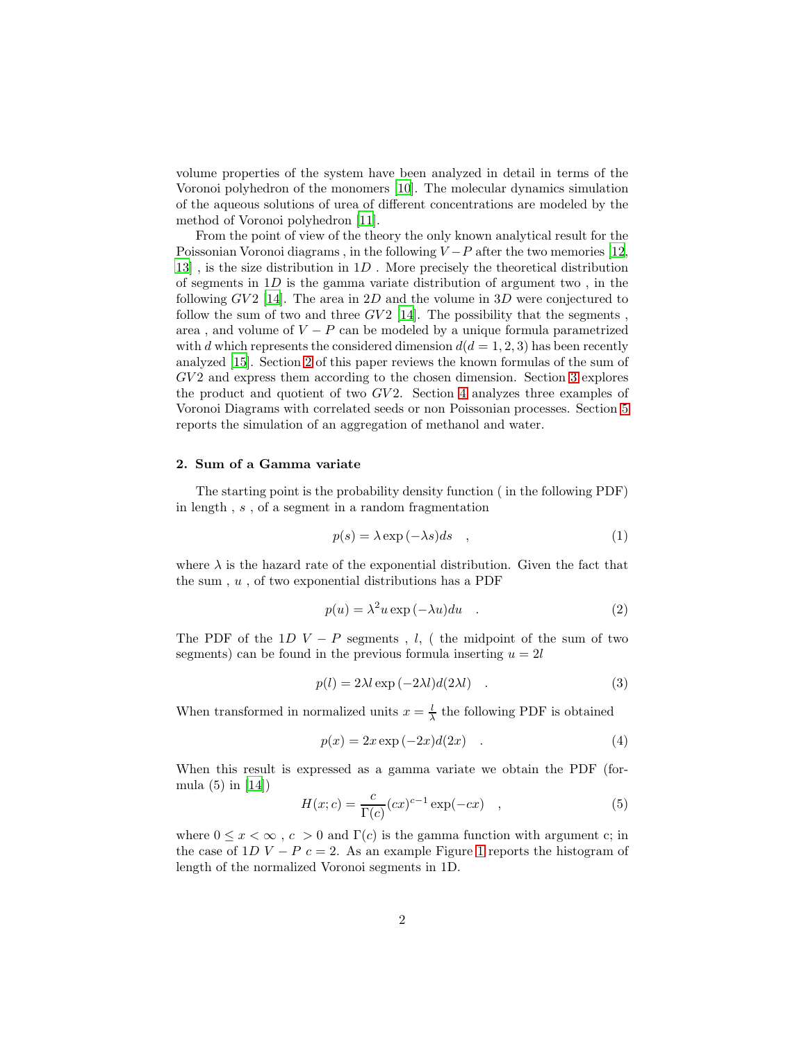volume properties of the system have been analyzed in detail in terms of the Voronoi polyhedron of the monomers [\[10](#page-16-9)]. The molecular dynamics simulation of the aqueous solutions of urea of different concentrations are modeled by the method of Voronoi polyhedron [\[11](#page-16-10)].

From the point of view of the theory the only known analytical result for the Poissonian Voronoi diagrams, in the following  $V-P$  after the two memories [\[12,](#page-16-11)  $13$ ], is the size distribution in  $1D$ . More precisely the theoretical distribution of segments in  $1D$  is the gamma variate distribution of argument two, in the following  $GV2$  [\[14\]](#page-16-13). The area in 2D and the volume in 3D were conjectured to follow the sum of two and three  $GV2$  [\[14](#page-16-13)]. The possibility that the segments, area , and volume of  $V - P$  can be modeled by a unique formula parametrized with d which represents the considered dimension  $d(d = 1, 2, 3)$  has been recently analyzed [\[15\]](#page-16-14). Section [2](#page-1-0) of this paper reviews the known formulas of the sum of GV 2 and express them according to the chosen dimension. Section [3](#page-8-0) explores the product and quotient of two  $GV2$ . Section [4](#page-9-0) analyzes three examples of Voronoi Diagrams with correlated seeds or non Poissonian processes. Section [5](#page-12-0) reports the simulation of an aggregation of methanol and water.

## <span id="page-1-0"></span>2. Sum of a Gamma variate

The starting point is the probability density function ( in the following PDF) in length , s , of a segment in a random fragmentation

$$
p(s) = \lambda \exp(-\lambda s)ds \quad , \tag{1}
$$

where  $\lambda$  is the hazard rate of the exponential distribution. Given the fact that the sum,  $u$ , of two exponential distributions has a PDF

$$
p(u) = \lambda^2 u \exp(-\lambda u) du \quad . \tag{2}
$$

The PDF of the 1D  $V - P$  segments, l, ( the midpoint of the sum of two segments) can be found in the previous formula inserting  $u = 2l$ 

$$
p(l) = 2\lambda l \exp(-2\lambda l) d(2\lambda l) \quad . \tag{3}
$$

When transformed in normalized units  $x = \frac{l}{\lambda}$  the following PDF is obtained

$$
p(x) = 2x \exp(-2x)d(2x) \quad . \tag{4}
$$

When this result is expressed as a gamma variate we obtain the PDF (formula (5) in [\[14\]](#page-16-13))

<span id="page-1-1"></span>
$$
H(x;c) = \frac{c}{\Gamma(c)} (cx)^{c-1} \exp(-cx) \quad , \tag{5}
$$

where  $0 \leq x < \infty$ ,  $c > 0$  and  $\Gamma(c)$  is the gamma function with argument c; in the case of [1](#page-2-0)D  $V - P c = 2$ . As an example Figure 1 reports the histogram of length of the normalized Voronoi segments in 1D.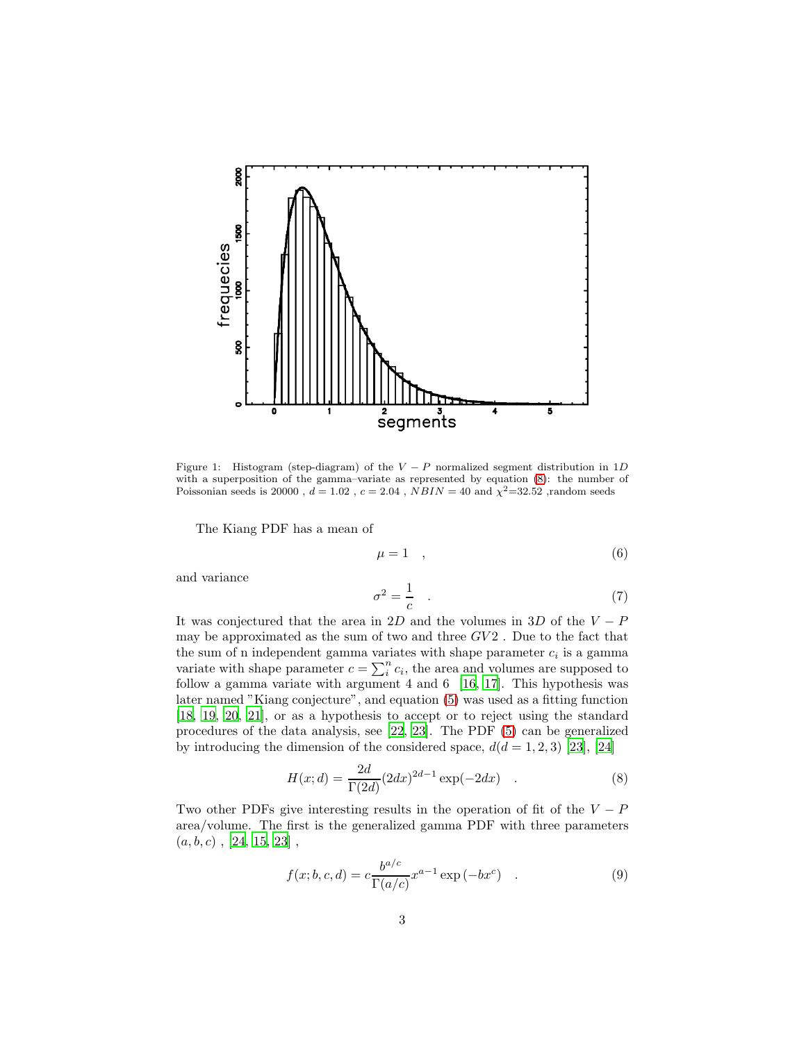

<span id="page-2-0"></span>Figure 1: Histogram (step-diagram) of the  $V - P$  normalized segment distribution in 1D with a superposition of the gamma–variate as represented by equation [\(8\)](#page-2-1): the number of Poissonian seeds is 20000,  $d = 1.02$ ,  $c = 2.04$ ,  $NBIN = 40$  and  $\chi^2 = 32.52$ , random seeds

The Kiang PDF has a mean of

$$
\mu = 1 \quad , \tag{6}
$$

and variance

$$
\sigma^2 = \frac{1}{c} \tag{7}
$$

It was conjectured that the area in 2D and the volumes in 3D of the  $V - P$ may be approximated as the sum of two and three  $GV2$ . Due to the fact that the sum of n independent gamma variates with shape parameter  $c_i$  is a gamma variate with shape parameter  $c = \sum_i^n c_i$ , the area and volumes are supposed to follow a gamma variate with argument 4 and 6 [\[16,](#page-17-0) [17\]](#page-17-1). This hypothesis was later named "Kiang conjecture", and equation [\(5\)](#page-1-1) was used as a fitting function [\[18,](#page-17-2) [19,](#page-17-3) [20](#page-17-4), [21](#page-17-5)], or as a hypothesis to accept or to reject using the standard procedures of the data analysis, see [\[22,](#page-17-6) [23\]](#page-17-7). The PDF [\(5\)](#page-1-1) can be generalized by introducing the dimension of the considered space,  $d(d = 1, 2, 3)$  [\[23\]](#page-17-7), [\[24\]](#page-17-8)

<span id="page-2-1"></span>
$$
H(x; d) = \frac{2d}{\Gamma(2d)} (2dx)^{2d-1} \exp(-2dx) .
$$
 (8)

Two other PDFs give interesting results in the operation of fit of the  $V - P$ area/volume. The first is the generalized gamma PDF with three parameters  $(a, b, c)$ , [\[24](#page-17-8), [15,](#page-16-14) [23\]](#page-17-7),

<span id="page-2-2"></span>
$$
f(x; b, c, d) = c \frac{b^{a/c}}{\Gamma(a/c)} x^{a-1} \exp(-bx^c) \quad . \tag{9}
$$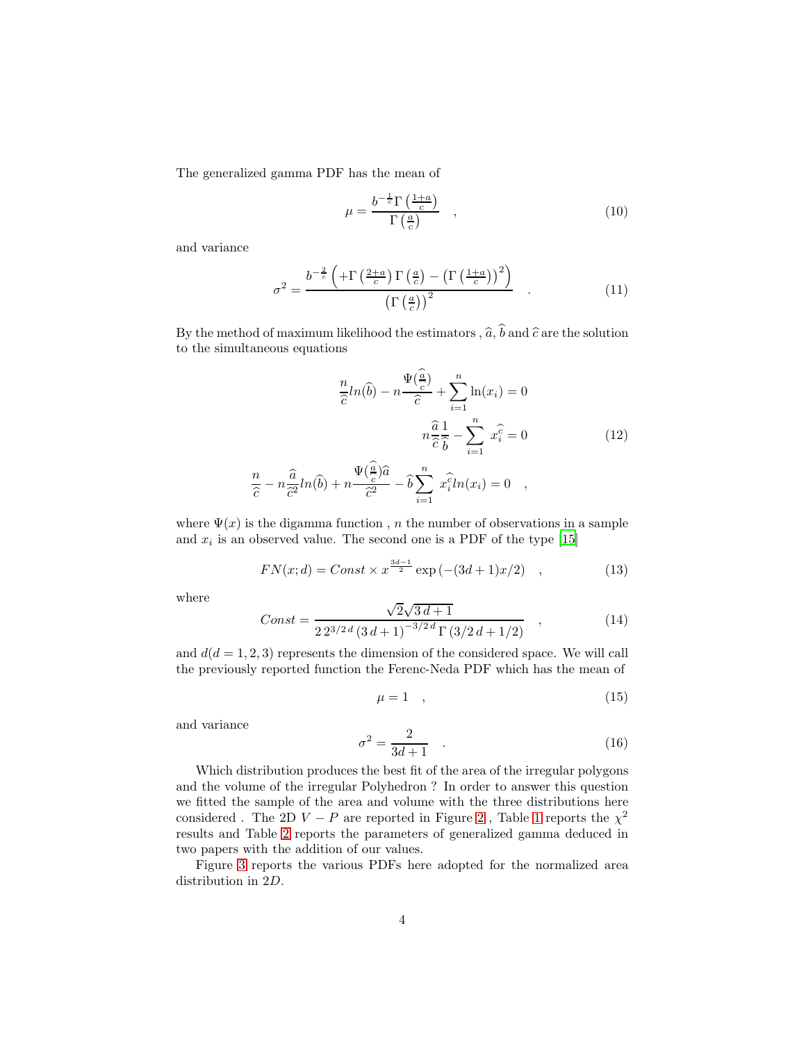The generalized gamma PDF has the mean of

$$
\mu = \frac{b^{-\frac{1}{c}} \Gamma\left(\frac{1+a}{c}\right)}{\Gamma\left(\frac{a}{c}\right)} \quad , \tag{10}
$$

and variance

$$
\sigma^2 = \frac{b^{-\frac{2}{c}} \left( +\Gamma\left(\frac{2+a}{c}\right) \Gamma\left(\frac{a}{c}\right) - \left(\Gamma\left(\frac{1+a}{c}\right)\right)^2 \right)}{\left(\Gamma\left(\frac{a}{c}\right)\right)^2} \quad . \tag{11}
$$

By the method of maximum likelihood the estimators,  $\hat{a}, \hat{b}$  and  $\hat{c}$  are the solution to the simultaneous equations

$$
\frac{n}{\hat{c}}ln(\hat{b}) - n\frac{\Psi(\frac{\hat{a}}{c})}{\hat{c}} + \sum_{i=1}^{n} \ln(x_i) = 0
$$

$$
n\frac{\hat{a}}{\hat{c}}\frac{1}{\hat{b}} - \sum_{i=1}^{n} x_i^{\hat{c}} = 0
$$
(12)

$$
\frac{n}{\hat{c}} - n \frac{\hat{a}}{\hat{c}^2} ln(\hat{b}) + n \frac{\Psi(\frac{a}{c})\hat{a}}{\hat{c}^2} - \hat{b} \sum_{i=1}^n x_i^2 ln(x_i) = 0 \quad ,
$$

where  $\Psi(x)$  is the digamma function, n the number of observations in a sample and  $x_i$  is an observed value. The second one is a PDF of the type [\[15](#page-16-14)]

<span id="page-3-0"></span>
$$
FN(x; d) = Const \times x^{\frac{3d-1}{2}} \exp(-(3d+1)x/2) , \qquad (13)
$$

where

$$
Const = \frac{\sqrt{2}\sqrt{3d+1}}{2\,2^{3/2\,d}\left(3\,d+1\right)^{-3/2\,d}\Gamma\left(3/2\,d+1/2\right)} \quad , \tag{14}
$$

and  $d(d = 1, 2, 3)$  represents the dimension of the considered space. We will call the previously reported function the Ferenc-Neda PDF which has the mean of

$$
\mu = 1 \quad , \tag{15}
$$

and variance

$$
\sigma^2 = \frac{2}{3d+1} \quad . \tag{16}
$$

Which distribution produces the best fit of the area of the irregular polygons and the volume of the irregular Polyhedron ? In order to answer this question we fitted the sample of the area and volume with the three distributions here considered . The [2](#page-4-0)D  $V - P$  are reported in Figure 2, Table [1](#page-4-1) reports the  $\chi^2$ results and Table [2](#page-5-0) reports the parameters of generalized gamma deduced in two papers with the addition of our values.

Figure [3](#page-5-1) reports the various PDFs here adopted for the normalized area distribution in 2D.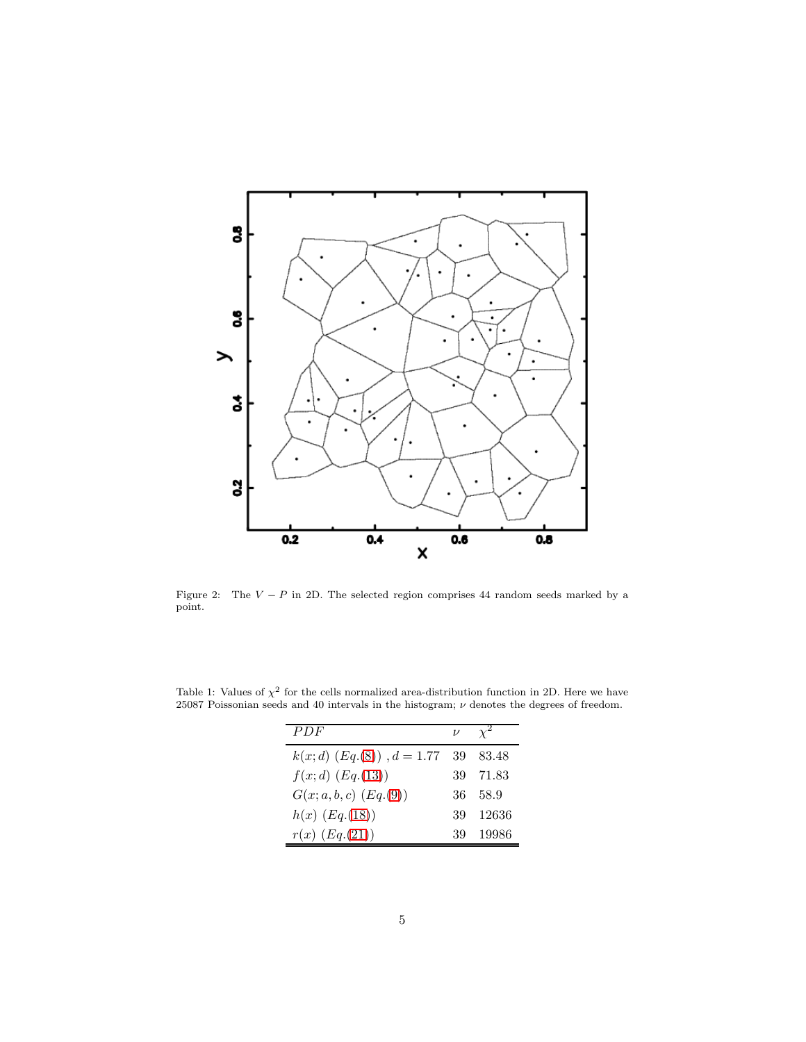

<span id="page-4-0"></span>Figure 2: The  $V - P$  in 2D. The selected region comprises 44 random seeds marked by a point.

| PDF                               | $\nu$ |          |
|-----------------------------------|-------|----------|
| $k(x; d)$ $(Eq.(8))$ , $d = 1.77$ | -39   | 83.48    |
| $f(x; d)$ $(Eq.(13))$             |       | 39 71.83 |
| $G(x; a, b, c)$ $(Eq.(9))$        | 36    | 58.9     |
| $h(x)$ $(Eq.(18))$                | 39    | -12636   |
| $r(x)$ $(Eq.(21))$                | 39    | 19986    |

<span id="page-4-1"></span>Table 1: Values of  $\chi^2$  for the cells normalized area-distribution function in 2D. Here we have 25087 Poissonian seeds and 40 intervals in the histogram;  $\nu$  denotes the degrees of freedom.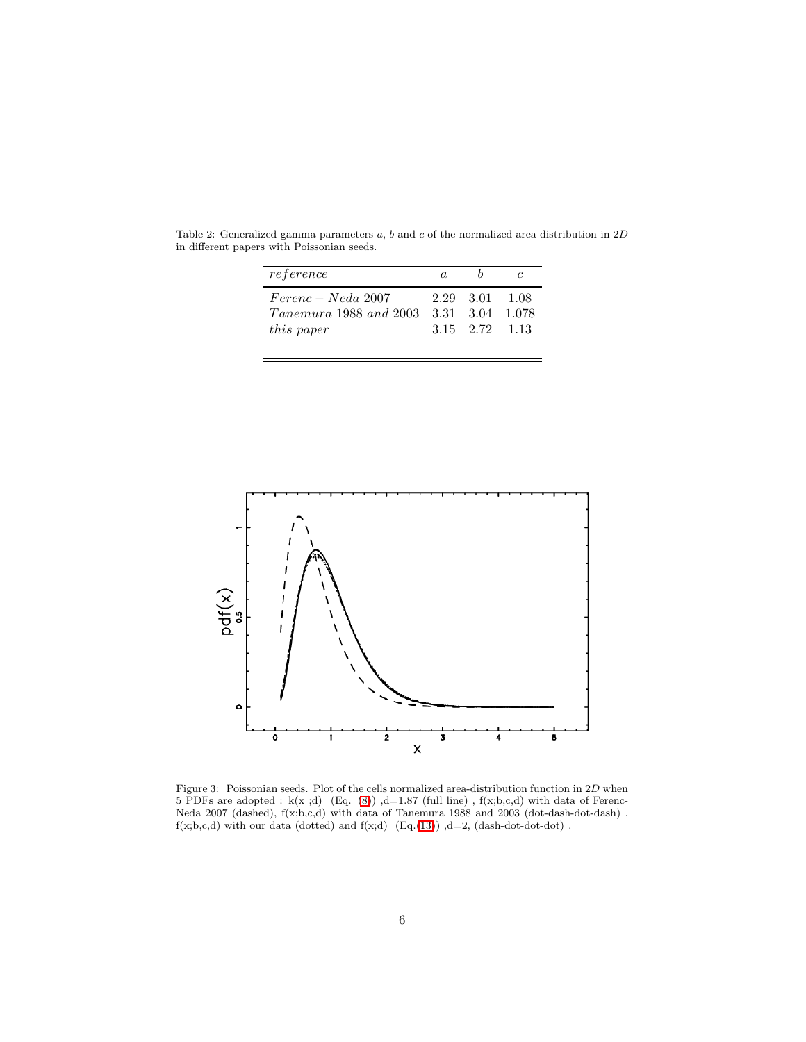| reference                                                           | $\alpha$ |                                  |                 |
|---------------------------------------------------------------------|----------|----------------------------------|-----------------|
| $Ferenc-Neda$ 2007<br>$Tanemura$ 1988 and 2003<br><i>this paper</i> |          | 2.29 3.01 1.08<br>3.15 2.72 1.13 | 3.31 3.04 1.078 |

<span id="page-5-0"></span>Table 2: Generalized gamma parameters  $a$ ,  $b$  and  $c$  of the normalized area distribution in  $2D$ in different papers with Poissonian seeds.



<span id="page-5-1"></span>Figure 3: Poissonian seeds. Plot of the cells normalized area-distribution function in  $2D$  when 5 PDFs are adopted : k(x ;d) (Eq.  $(8)$ ) ,d=1.87 (full line), f(x;b,c,d) with data of Ferenc-Neda 2007 (dashed),  $f(x;b,c,d)$  with data of Tanemura 1988 and 2003 (dot-dash-dot-dash),  $f(x;b,c,d)$  with our data (dotted) and  $f(x;d)$  (Eq.[\(13\)](#page-3-0))  $,d=2$ , (dash-dot-dot-dot).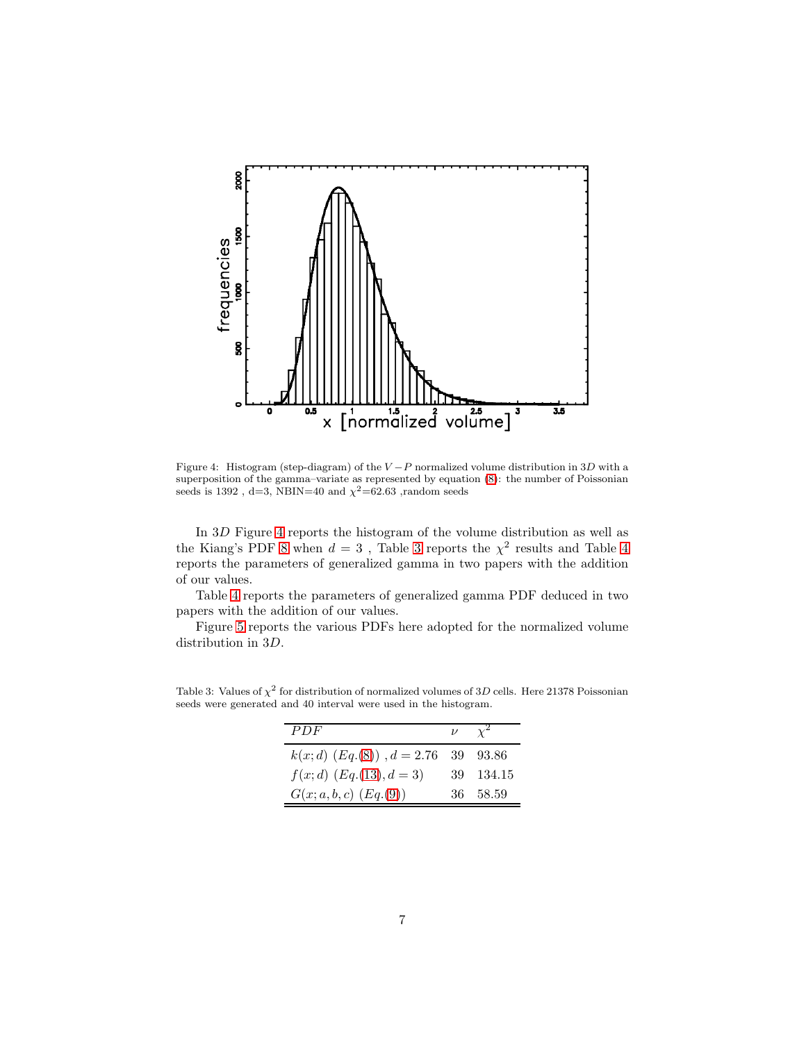

<span id="page-6-0"></span>Figure 4: Histogram (step-diagram) of the  $V-P$  normalized volume distribution in 3D with a superposition of the gamma–variate as represented by equation [\(8\)](#page-2-1): the number of Poissonian seeds is 1392, d=3, NBIN=40 and  $\chi^2$ =62.63, random seeds

In 3D Figure [4](#page-6-0) reports the histogram of the volume distribution as well as the Kiang's PDF [8](#page-2-1) when  $d = 3$  $d = 3$ , Table 3 reports the  $\chi^2$  results and Table [4](#page-7-0) reports the parameters of generalized gamma in two papers with the addition of our values.

Table [4](#page-7-0) reports the parameters of generalized gamma PDF deduced in two papers with the addition of our values.

Figure [5](#page-7-1) reports the various PDFs here adopted for the normalized volume distribution in 3D.

| PDF                                        | $\nu \propto^2$ |
|--------------------------------------------|-----------------|
| $k(x; d)$ $(Eq.(8))$ , $d = 2.76$ 39 93.86 |                 |
| $f(x; d)$ $(Eq.(13), d = 3)$               | 39 134.15       |
| $G(x; a, b, c)$ $(Eq.(9))$                 | 36 58.59        |

<span id="page-6-1"></span>Table 3: Values of  $\chi^2$  for distribution of normalized volumes of 3D cells. Here 21378 Poissonian seeds were generated and 40 interval were used in the histogram.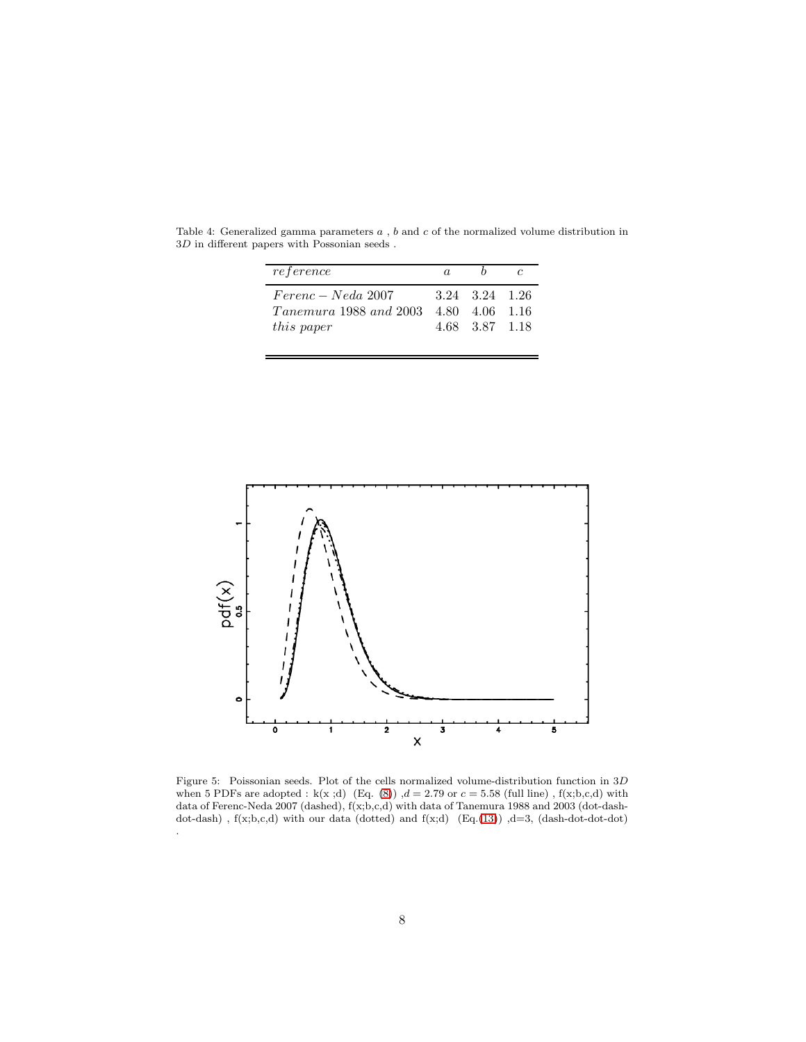| reference              | a. |                |  |
|------------------------|----|----------------|--|
| $Ferenc-Neda$ 2007     |    | 3.24 3.24 1.26 |  |
| Tanemura 1988 and 2003 |    | 4.80 4.06 1.16 |  |
| <i>this paper</i>      |    | 4.68 3.87 1.18 |  |
|                        |    |                |  |

<span id="page-7-0"></span>Table 4: Generalized gamma parameters  $a$ ,  $b$  and  $c$  of the normalized volume distribution in  $3D$  in different papers with Possonian seeds .



<span id="page-7-1"></span>Figure 5: Poissonian seeds. Plot of the cells normalized volume-distribution function in 3D when 5 PDFs are adopted : k(x;d) (Eq. [\(8\)](#page-2-1))  $,d = 2.79$  or  $c = 5.58$  (full line), f(x;b,c,d) with data of Ferenc-Neda 2007 (dashed), f(x;b,c,d) with data of Tanemura 1988 and 2003 (dot-dashdot-dash),  $f(x;b,c,d)$  with our data (dotted) and  $f(x;d)$  (Eq.[\(13\)](#page-3-0)), d=3, (dash-dot-dot-dot) .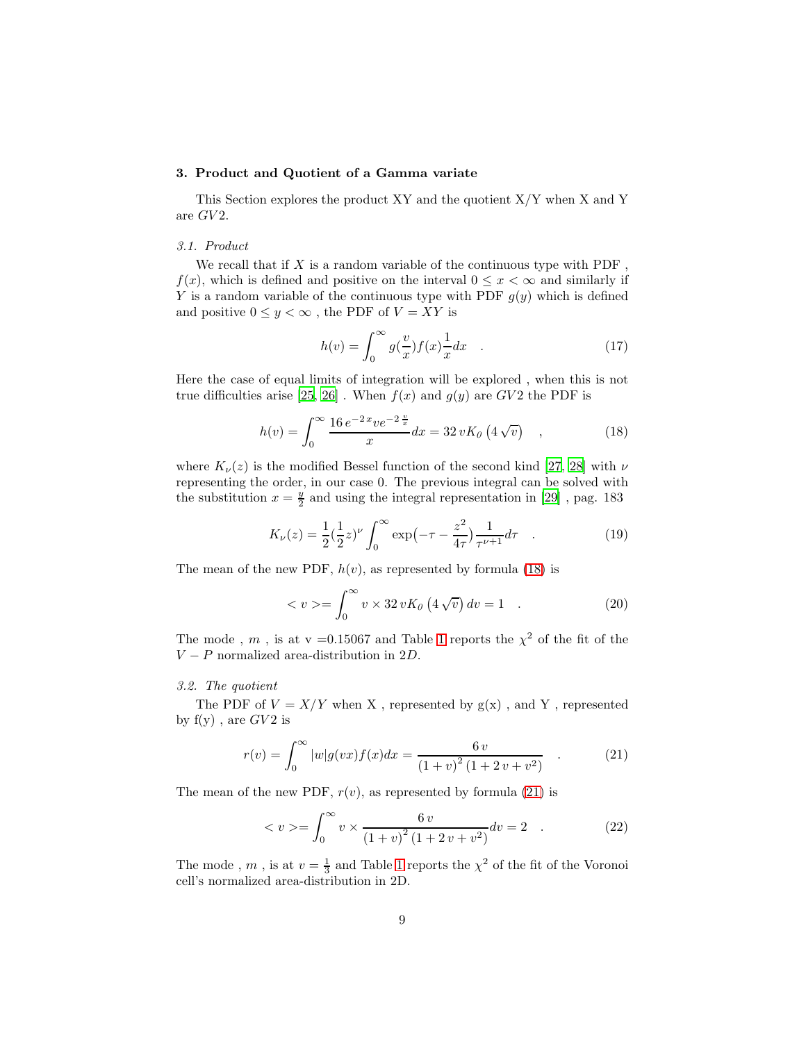## <span id="page-8-0"></span>3. Product and Quotient of a Gamma variate

This Section explores the product XY and the quotient X/Y when X and Y are  $GV2$ .

## *3.1. Product*

We recall that if X is a random variable of the continuous type with  $PDF$ .  $f(x)$ , which is defined and positive on the interval  $0 \leq x < \infty$  and similarly if Y is a random variable of the continuous type with PDF  $g(y)$  which is defined and positive  $0 \leq y < \infty$ , the PDF of  $V = XY$  is

$$
h(v) = \int_0^\infty g(\frac{v}{x}) f(x) \frac{1}{x} dx \quad . \tag{17}
$$

Here the case of equal limits of integration will be explored , when this is not true difficulties arise [\[25,](#page-17-9) [26\]](#page-17-10). When  $f(x)$  and  $g(y)$  are  $GV2$  the PDF is

<span id="page-8-1"></span>
$$
h(v) = \int_0^\infty \frac{16 e^{-2x} v e^{-2\frac{v}{x}}}{x} dx = 32 v K_0 \left(4 \sqrt{v}\right) , \qquad (18)
$$

where  $K_{\nu}(z)$  is the modified Bessel function of the second kind [\[27,](#page-17-11) [28\]](#page-17-12) with  $\nu$ representing the order, in our case 0. The previous integral can be solved with the substitution  $x = \frac{y}{2}$  and using the integral representation in [\[29\]](#page-17-13), pag. 183

$$
K_{\nu}(z) = \frac{1}{2} \left(\frac{1}{2}z\right)^{\nu} \int_0^{\infty} \exp\left(-\tau - \frac{z^2}{4\tau}\right) \frac{1}{\tau^{\nu+1}} d\tau \quad . \tag{19}
$$

The mean of the new PDF,  $h(v)$ , as represented by formula [\(18\)](#page-8-1) is

$$
\langle v \rangle = \int_0^\infty v \times 32 \, v K_0 \left( 4 \sqrt{v} \right) dv = 1 \quad . \tag{20}
$$

The mode, m, is at v = 0.15067 and Table [1](#page-4-1) reports the  $\chi^2$  of the fit of the  $V - P$  normalized area-distribution in 2D.

## *3.2. The quotient*

The PDF of  $V = X/Y$  when X, represented by  $g(x)$ , and Y, represented by  $f(y)$ , are  $GV2$  is

<span id="page-8-2"></span>
$$
r(v) = \int_0^\infty |w| g(vx) f(x) dx = \frac{6 v}{(1+v)^2 (1+2v+v^2)} \quad . \tag{21}
$$

The mean of the new PDF,  $r(v)$ , as represented by formula [\(21\)](#page-8-2) is

$$
\langle v \rangle = \int_0^\infty v \times \frac{6v}{(1+v)^2 (1+2v+v^2)} dv = 2 \quad . \tag{22}
$$

The mode ,  $m$  , is at  $v = \frac{1}{3}$  and Table [1](#page-4-1) reports the  $\chi^2$  of the fit of the Voronoi cell's normalized area-distribution in 2D.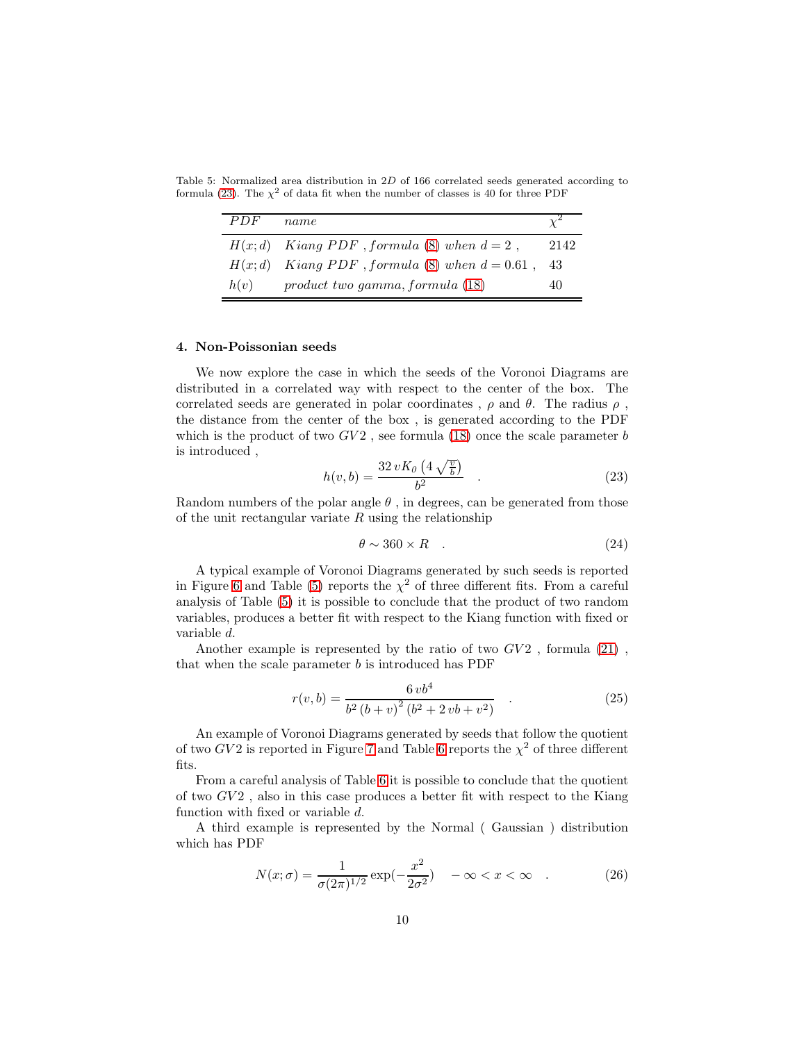Table 5: Normalized area distribution in 2D of 166 correlated seeds generated according to formula [\(23\)](#page-9-1). The  $\chi^2$  of data fit when the number of classes is 40 for three PDF

<span id="page-9-2"></span>

| PDF  | name                                                  |      |
|------|-------------------------------------------------------|------|
|      | $H(x; d)$ Kiang PDF, formula (8) when $d = 2$ ,       | 2142 |
|      | $H(x; d)$ Kiang PDF, formula (8) when $d = 0.61$ , 43 |      |
| h(v) | $product\ two\ gamma, formula\ (18)$                  | 40   |

#### <span id="page-9-0"></span>4. Non-Poissonian seeds

We now explore the case in which the seeds of the Voronoi Diagrams are distributed in a correlated way with respect to the center of the box. The correlated seeds are generated in polar coordinates ,  $\rho$  and  $\theta$ . The radius  $\rho$ , the distance from the center of the box , is generated according to the PDF which is the product of two  $GV2$ , see formula [\(18\)](#page-8-1) once the scale parameter b is introduced ,

<span id="page-9-1"></span>
$$
h(v, b) = \frac{32 v K_0 \left(4 \sqrt{\frac{v}{b}}\right)}{b^2} . \tag{23}
$$

Random numbers of the polar angle  $\theta$ , in degrees, can be generated from those of the unit rectangular variate  $R$  using the relationship

$$
\theta \sim 360 \times R \quad . \tag{24}
$$

A typical example of Voronoi Diagrams generated by such seeds is reported in Figure [6](#page-10-0) and Table [\(5\)](#page-9-2) reports the  $\chi^2$  of three different fits. From a careful analysis of Table [\(5\)](#page-9-2) it is possible to conclude that the product of two random variables, produces a better fit with respect to the Kiang function with fixed or variable d.

Another example is represented by the ratio of two  $GV2$ , formula  $(21)$ , that when the scale parameter  $b$  is introduced has PDF

<span id="page-9-3"></span>
$$
r(v,b) = \frac{6\,vb^4}{b^2\,(b+v)^2\,(b^2+2\,vb+v^2)}\tag{25}
$$

An example of Voronoi Diagrams generated by seeds that follow the quotient of two  $GV2$  is reported in Figure [7](#page-11-0) and Table [6](#page-10-1) reports the  $\chi^2$  of three different fits.

From a careful analysis of Table [6](#page-10-1) it is possible to conclude that the quotient of two  $GV2$ , also in this case produces a better fit with respect to the Kiang function with fixed or variable d.

A third example is represented by the Normal ( Gaussian ) distribution which has PDF

<span id="page-9-4"></span>
$$
N(x; \sigma) = \frac{1}{\sigma(2\pi)^{1/2}} \exp(-\frac{x^2}{2\sigma^2}) \quad -\infty < x < \infty \quad . \tag{26}
$$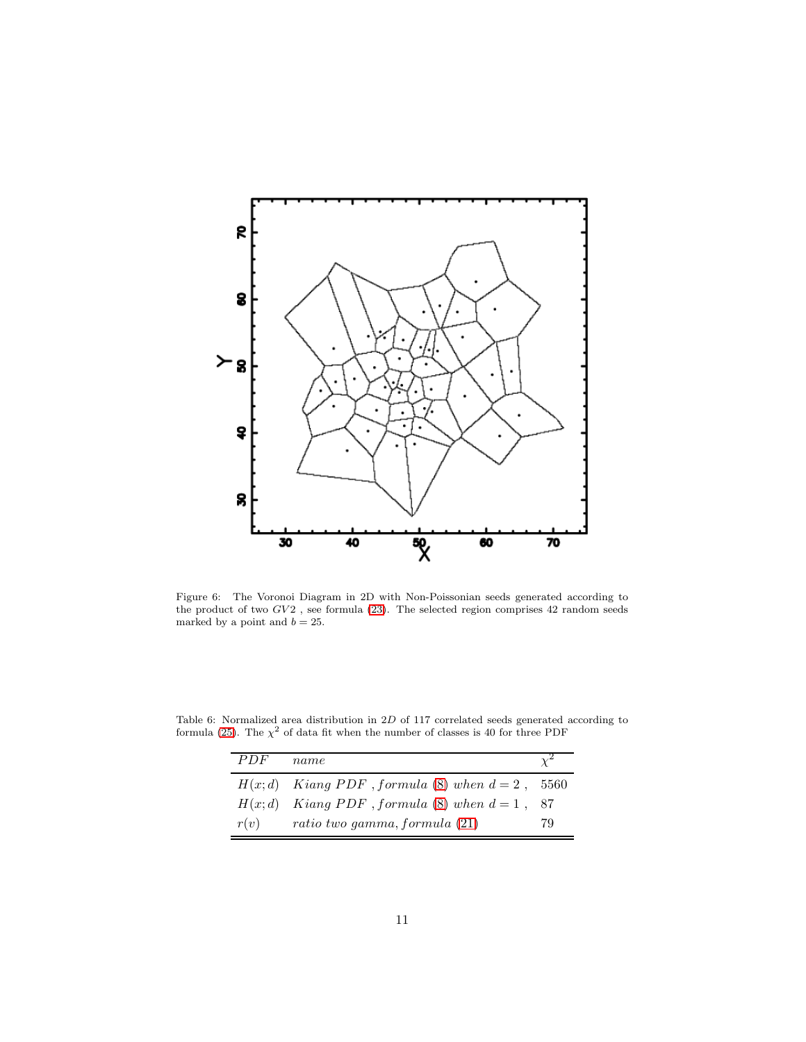

<span id="page-10-0"></span>Figure 6: The Voronoi Diagram in 2D with Non-Poissonian seeds generated according to the product of two  $GV2$  , see formula [\(23\)](#page-9-1). The selected region comprises 42 random seeds marked by a point and  $b=25.$ 

Table 6: Normalized area distribution in 2D of 117 correlated seeds generated according to formula [\(25\)](#page-9-3). The  $\chi^2$  of data fit when the number of classes is 40 for three PDF

<span id="page-10-1"></span>

| PDF  | name                                                 |    |
|------|------------------------------------------------------|----|
|      | $H(x; d)$ Kiang PDF, formula (8) when $d = 2$ , 5560 |    |
|      | $H(x; d)$ Kiang PDF, formula (8) when $d = 1$ , 87   |    |
| r(v) | ratio two gamma, formula $(21)$                      | 79 |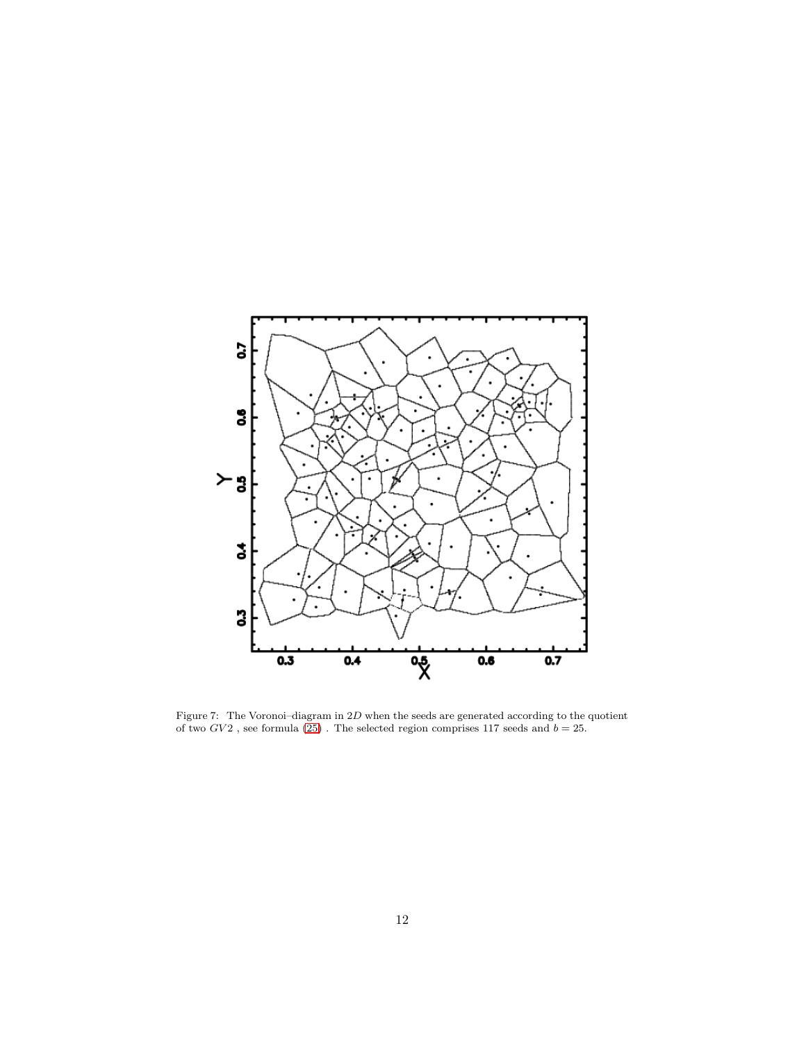

<span id="page-11-0"></span>Figure 7: The Voronoi–diagram in 2D when the seeds are generated according to the quotient of two  $GV2$ , see formula [\(25\)](#page-9-3). The selected region comprises 117 seeds and  $b = 25$ .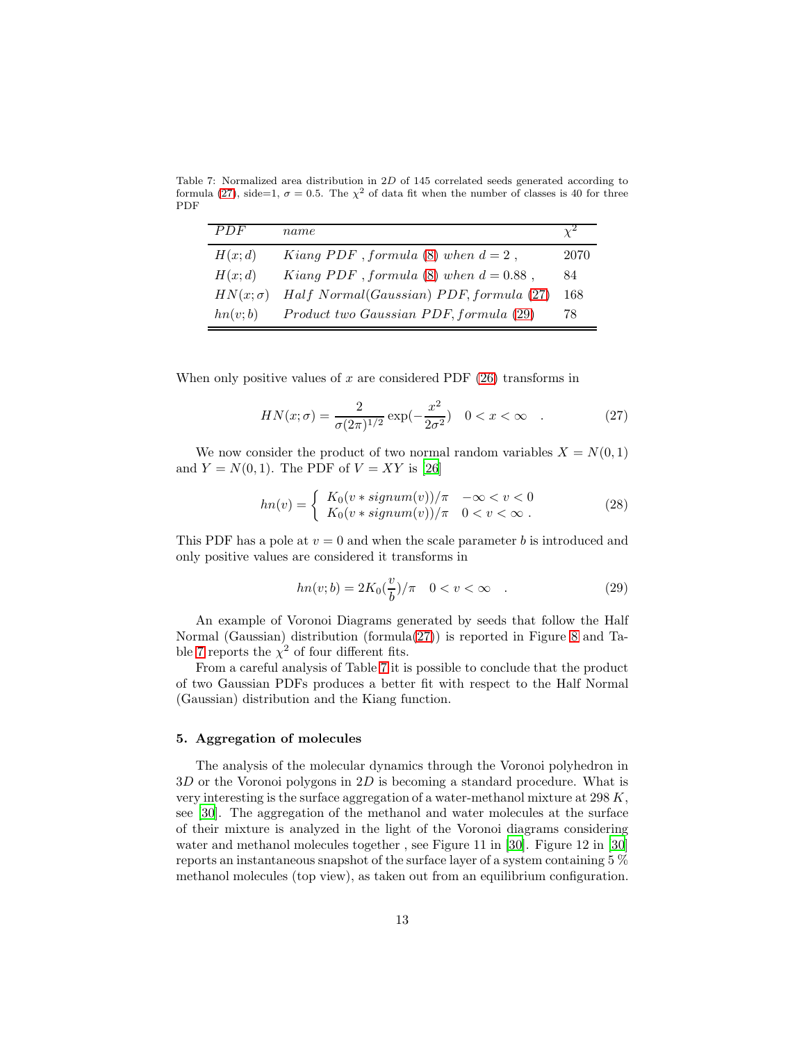Table 7: Normalized area distribution in 2D of 145 correlated seeds generated according to formula [\(27\)](#page-12-1), side=1,  $\sigma = 0.5$ . The  $\chi^2$  of data fit when the number of classes is 40 for three PDF

<span id="page-12-3"></span>

| PDF             | name                                      |      |
|-----------------|-------------------------------------------|------|
| H(x;d)          | Kiang PDF, formula (8) when $d = 2$ ,     | 2070 |
| H(x;d)          | Kiang PDF, formula (8) when $d = 0.88$ ,  | 84   |
| $HN(x; \sigma)$ | $Half Normal(Gaussian) PDF, formula (27)$ | 168  |
| hn(v;b)         | Product two Gaussian PDF, formula (29)    | 78   |

When only positive values of  $x$  are considered PDF  $(26)$  transforms in

<span id="page-12-1"></span>
$$
HN(x; \sigma) = \frac{2}{\sigma (2\pi)^{1/2}} \exp(-\frac{x^2}{2\sigma^2}) \quad 0 < x < \infty \quad . \tag{27}
$$

We now consider the product of two normal random variables  $X = N(0, 1)$ and  $Y = N(0, 1)$ . The PDF of  $V = XY$  is [\[26](#page-17-10)]

$$
hn(v) = \begin{cases} K_0(v * signum(v))/\pi & -\infty < v < 0\\ K_0(v * signum(v))/\pi & 0 < v < \infty \end{cases}
$$
 (28)

This PDF has a pole at  $v = 0$  and when the scale parameter b is introduced and only positive values are considered it transforms in

<span id="page-12-2"></span>
$$
hn(v; b) = 2K_0(\frac{v}{b})/\pi \quad 0 < v < \infty \quad . \tag{29}
$$

An example of Voronoi Diagrams generated by seeds that follow the Half Normal (Gaussian) distribution (formula[\(27\)](#page-12-1)) is reported in Figure [8](#page-13-0) and Ta-ble [7](#page-12-3) reports the  $\chi^2$  of four different fits.

From a careful analysis of Table [7](#page-12-3) it is possible to conclude that the product of two Gaussian PDFs produces a better fit with respect to the Half Normal (Gaussian) distribution and the Kiang function.

## <span id="page-12-0"></span>5. Aggregation of molecules

The analysis of the molecular dynamics through the Voronoi polyhedron in  $3D$  or the Voronoi polygons in  $2D$  is becoming a standard procedure. What is very interesting is the surface aggregation of a water-methanol mixture at 298 K, see [\[30](#page-17-14)]. The aggregation of the methanol and water molecules at the surface of their mixture is analyzed in the light of the Voronoi diagrams considering water and methanol molecules together, see Figure 11 in [\[30\]](#page-17-14). Figure 12 in [30] reports an instantaneous snapshot of the surface layer of a system containing 5 % methanol molecules (top view), as taken out from an equilibrium configuration.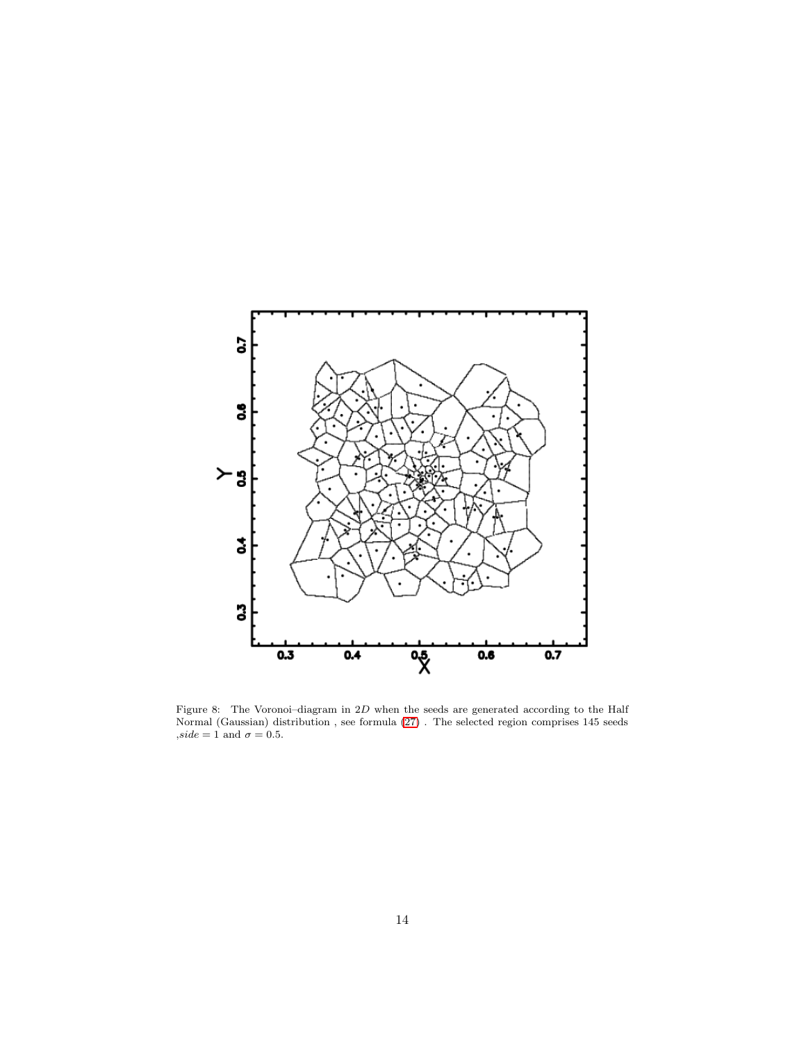

<span id="page-13-0"></span>Figure 8: The Voronoi–diagram in  $2D$  when the seeds are generated according to the Half Normal (Gaussian) distribution , see formula [\(27\)](#page-12-1) . The selected region comprises 145 seeds  $, side = 1$  and  $\sigma = 0.5$ .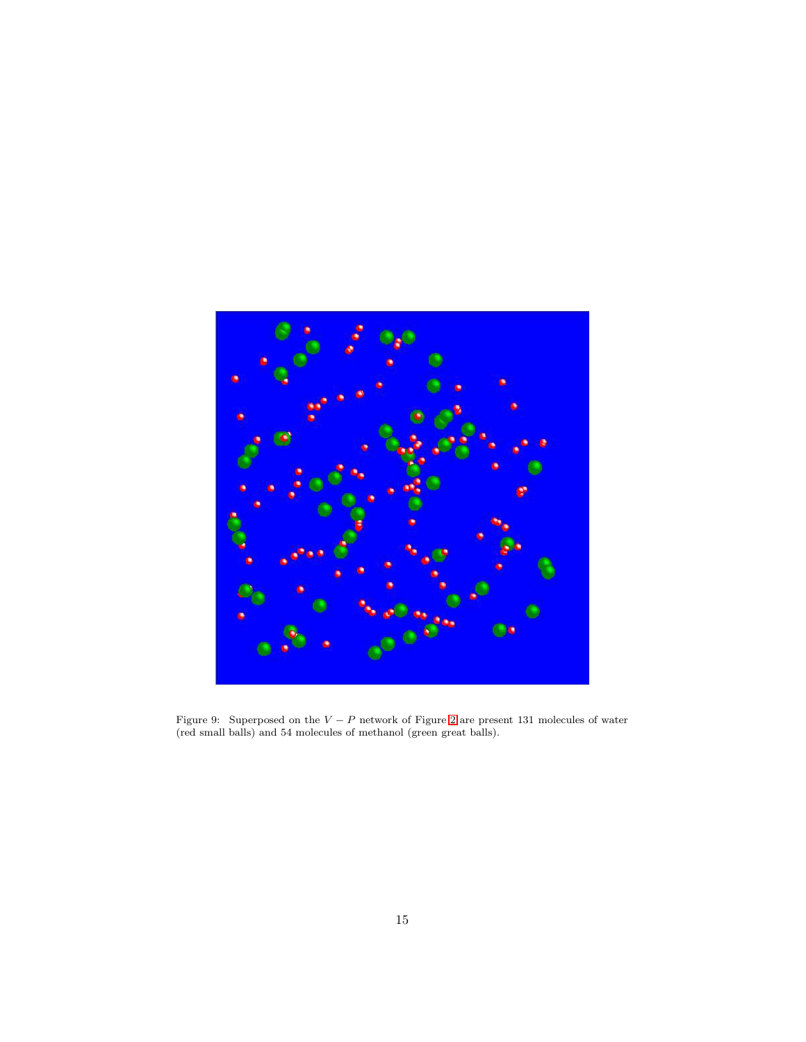<span id="page-14-0"></span>

Figure 9: Superposed on the  $V - P$  network of Figure [2](#page-4-0) are present 131 molecules of water (red small balls) and 54 molecules of methanol (green great balls).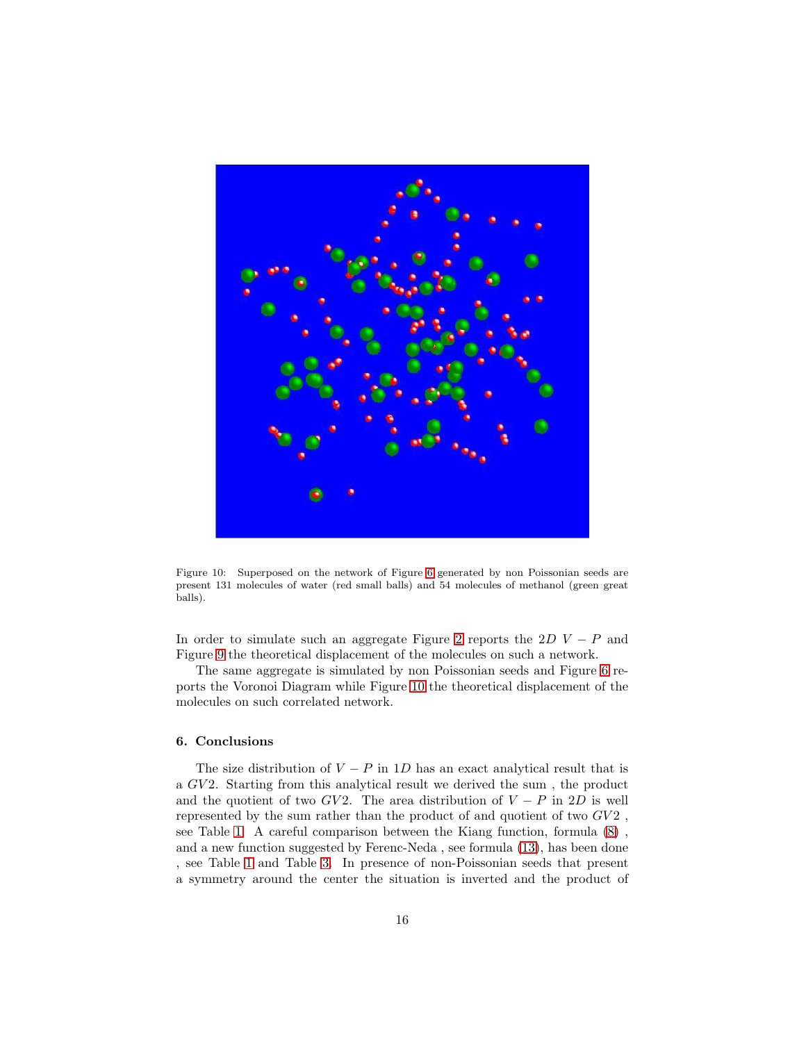

Figure 10: Superposed on the network of Figure [6](#page-10-0) generated by non Poissonian seeds are present 131 molecules of water (red small balls) and 54 molecules of methanol (green great balls).

<span id="page-15-0"></span>In order to simulate such an aggregate Figure [2](#page-4-0) reports the  $2D V - P$  and Figure [9](#page-14-0) the theoretical displacement of the molecules on such a network.

The same aggregate is simulated by non Poissonian seeds and Figure [6](#page-10-0) reports the Voronoi Diagram while Figure [10](#page-15-0) the theoretical displacement of the molecules on such correlated network.

## 6. Conclusions

The size distribution of  $V - P$  in 1D has an exact analytical result that is a GV 2. Starting from this analytical result we derived the sum , the product and the quotient of two  $GV2$ . The area distribution of  $V - P$  in 2D is well represented by the sum rather than the product of and quotient of two  $GV2$ , see Table [1.](#page-4-1) A careful comparison between the Kiang function, formula [\(8\)](#page-2-1) , and a new function suggested by Ferenc-Neda , see formula [\(13\)](#page-3-0), has been done , see Table [1](#page-4-1) and Table [3.](#page-6-1) In presence of non-Poissonian seeds that present a symmetry around the center the situation is inverted and the product of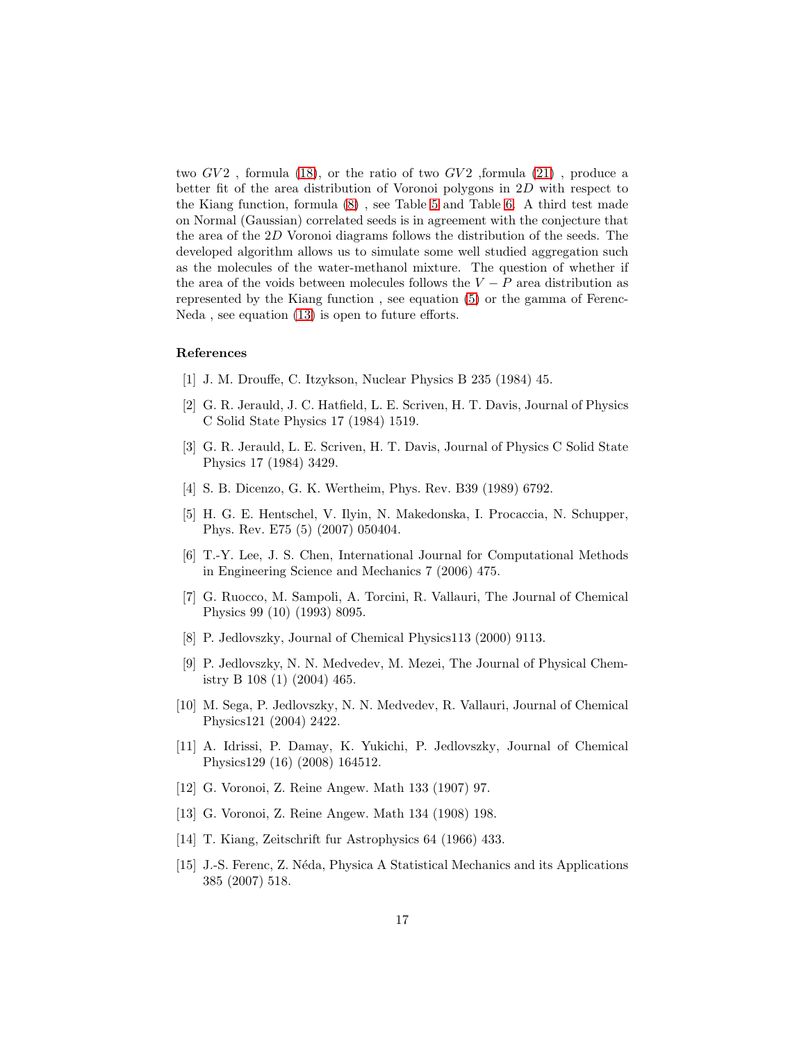two  $GV2$ , formula [\(18\)](#page-8-1), or the ratio of two  $GV2$ , formula [\(21\)](#page-8-2), produce a better fit of the area distribution of Voronoi polygons in 2D with respect to the Kiang function, formula [\(8\)](#page-2-1) , see Table [5](#page-9-2) and Table [6.](#page-10-1) A third test made on Normal (Gaussian) correlated seeds is in agreement with the conjecture that the area of the 2D Voronoi diagrams follows the distribution of the seeds. The developed algorithm allows us to simulate some well studied aggregation such as the molecules of the water-methanol mixture. The question of whether if the area of the voids between molecules follows the  $V - P$  area distribution as represented by the Kiang function , see equation [\(5\)](#page-1-1) or the gamma of Ferenc-Neda , see equation [\(13\)](#page-3-0) is open to future efforts.

## References

- <span id="page-16-0"></span>[1] J. M. Drouffe, C. Itzykson, Nuclear Physics B 235 (1984) 45.
- <span id="page-16-1"></span>[2] G. R. Jerauld, J. C. Hatfield, L. E. Scriven, H. T. Davis, Journal of Physics C Solid State Physics 17 (1984) 1519.
- <span id="page-16-2"></span>[3] G. R. Jerauld, L. E. Scriven, H. T. Davis, Journal of Physics C Solid State Physics 17 (1984) 3429.
- <span id="page-16-3"></span>[4] S. B. Dicenzo, G. K. Wertheim, Phys. Rev. B39 (1989) 6792.
- <span id="page-16-4"></span>[5] H. G. E. Hentschel, V. Ilyin, N. Makedonska, I. Procaccia, N. Schupper, Phys. Rev. E75 (5) (2007) 050404.
- <span id="page-16-5"></span>[6] T.-Y. Lee, J. S. Chen, International Journal for Computational Methods in Engineering Science and Mechanics 7 (2006) 475.
- <span id="page-16-6"></span>[7] G. Ruocco, M. Sampoli, A. Torcini, R. Vallauri, The Journal of Chemical Physics 99 (10) (1993) 8095.
- <span id="page-16-7"></span>[8] P. Jedlovszky, Journal of Chemical Physics113 (2000) 9113.
- <span id="page-16-8"></span>[9] P. Jedlovszky, N. N. Medvedev, M. Mezei, The Journal of Physical Chemistry B 108 (1) (2004) 465.
- <span id="page-16-9"></span>[10] M. Sega, P. Jedlovszky, N. N. Medvedev, R. Vallauri, Journal of Chemical Physics121 (2004) 2422.
- <span id="page-16-10"></span>[11] A. Idrissi, P. Damay, K. Yukichi, P. Jedlovszky, Journal of Chemical Physics129 (16) (2008) 164512.
- <span id="page-16-11"></span>[12] G. Voronoi, Z. Reine Angew. Math 133 (1907) 97.
- <span id="page-16-12"></span>[13] G. Voronoi, Z. Reine Angew. Math 134 (1908) 198.
- <span id="page-16-13"></span>[14] T. Kiang, Zeitschrift fur Astrophysics 64 (1966) 433.
- <span id="page-16-14"></span>[15] J.-S. Ferenc, Z. N´eda, Physica A Statistical Mechanics and its Applications 385 (2007) 518.